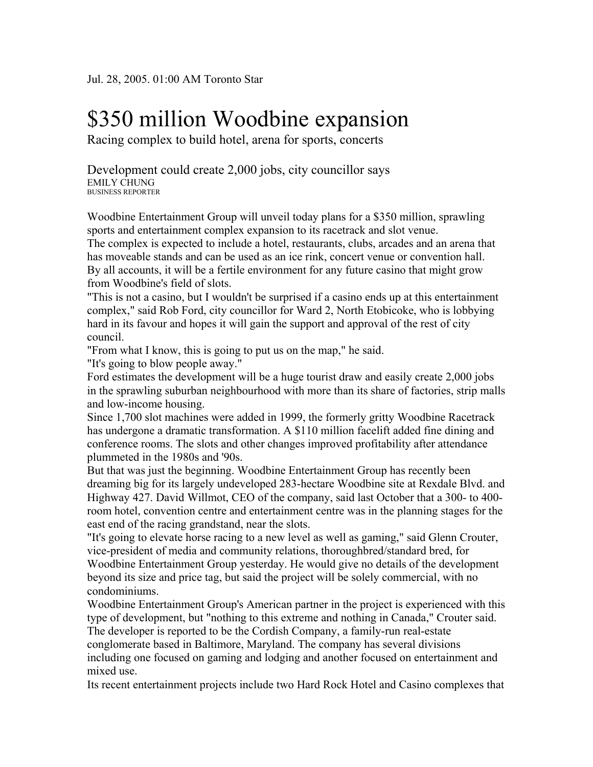## \$350 million Woodbine expansion

Racing complex to build hotel, arena for sports, concerts

Development could create 2,000 jobs, city councillor says EMILY CHUNG BUSINESS REPORTER

Woodbine Entertainment Group will unveil today plans for a \$350 million, sprawling sports and entertainment complex expansion to its racetrack and slot venue.

The complex is expected to include a hotel, restaurants, clubs, arcades and an arena that has moveable stands and can be used as an ice rink, concert venue or convention hall. By all accounts, it will be a fertile environment for any future casino that might grow from Woodbine's field of slots.

"This is not a casino, but I wouldn't be surprised if a casino ends up at this entertainment complex," said Rob Ford, city councillor for Ward 2, North Etobicoke, who is lobbying hard in its favour and hopes it will gain the support and approval of the rest of city council.

"From what I know, this is going to put us on the map," he said.

"It's going to blow people away."

Ford estimates the development will be a huge tourist draw and easily create 2,000 jobs in the sprawling suburban neighbourhood with more than its share of factories, strip malls and low-income housing.

Since 1,700 slot machines were added in 1999, the formerly gritty Woodbine Racetrack has undergone a dramatic transformation. A \$110 million facelift added fine dining and conference rooms. The slots and other changes improved profitability after attendance plummeted in the 1980s and '90s.

But that was just the beginning. Woodbine Entertainment Group has recently been dreaming big for its largely undeveloped 283-hectare Woodbine site at Rexdale Blvd. and Highway 427. David Willmot, CEO of the company, said last October that a 300- to 400 room hotel, convention centre and entertainment centre was in the planning stages for the east end of the racing grandstand, near the slots.

"It's going to elevate horse racing to a new level as well as gaming," said Glenn Crouter, vice-president of media and community relations, thoroughbred/standard bred, for Woodbine Entertainment Group yesterday. He would give no details of the development beyond its size and price tag, but said the project will be solely commercial, with no condominiums.

Woodbine Entertainment Group's American partner in the project is experienced with this type of development, but "nothing to this extreme and nothing in Canada," Crouter said. The developer is reported to be the Cordish Company, a family-run real-estate conglomerate based in Baltimore, Maryland. The company has several divisions including one focused on gaming and lodging and another focused on entertainment and mixed use.

Its recent entertainment projects include two Hard Rock Hotel and Casino complexes that